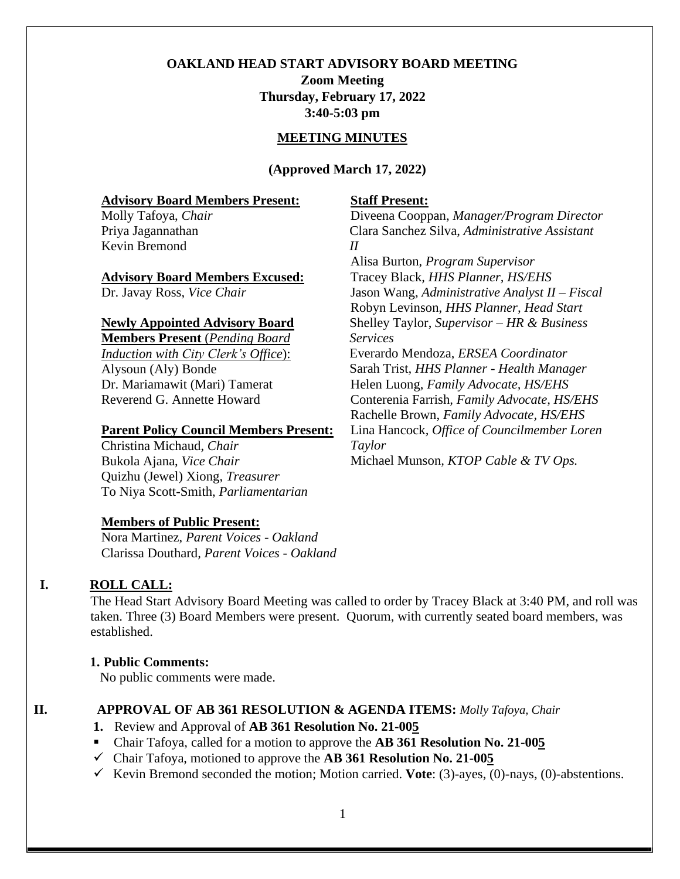# **OAKLAND HEAD START ADVISORY BOARD MEETING Zoom Meeting Thursday, February 17, 2022**

**3:40-5:03 pm**

#### **MEETING MINUTES**

**(Approved March 17, 2022)**

#### **Advisory Board Members Present:**

Molly Tafoya, *Chair* Priya Jagannathan Kevin Bremond

#### **Advisory Board Members Excused:**

Dr. Javay Ross, *Vice Chair*

#### **Newly Appointed Advisory Board**

**Members Present** (*Pending Board Induction with City Clerk's Office*): Alysoun (Aly) Bonde Dr. Mariamawit (Mari) Tamerat Reverend G. Annette Howard

#### **Parent Policy Council Members Present:**

Christina Michaud, *Chair* Bukola Ajana, *Vice Chair* Quizhu (Jewel) Xiong, *Treasurer* To Niya Scott-Smith, *Parliamentarian*

#### **Members of Public Present:**

Nora Martinez, *Parent Voices - Oakland* Clarissa Douthard*, Parent Voices - Oakland*

### **I. ROLL CALL:**

The Head Start Advisory Board Meeting was called to order by Tracey Black at 3:40 PM, and roll was taken. Three (3) Board Members were present. Quorum, with currently seated board members, was established.

#### **1. Public Comments:**

No public comments were made.

### **II. APPROVAL OF AB 361 RESOLUTION & AGENDA ITEMS:** *Molly Tafoya, Chair*

- **1.** Review and Approval of **AB 361 Resolution No. 21-005**
- Chair Tafoya, called for a motion to approve the **AB 361 Resolution No. 21-005**
- ✓ Chair Tafoya, motioned to approve the **AB 361 Resolution No. 21-005**
- ✓ Kevin Bremond seconded the motion; Motion carried. **Vote**: (3)-ayes, (0)-nays, (0)-abstentions.

### **Staff Present:**

Diveena Cooppan, *Manager/Program Director* Clara Sanchez Silva, *Administrative Assistant II*

Alisa Burton, *Program Supervisor*  Tracey Black*, HHS Planner, HS/EHS*  Jason Wang, *Administrative Analyst II – Fiscal* Robyn Levinson, *HHS Planner, Head Start* Shelley Taylor, *Supervisor – HR & Business Services* Everardo Mendoza, *ERSEA Coordinator* Sarah Trist*, HHS Planner - Health Manager* Helen Luong, *Family Advocate, HS/EHS* Conterenia Farrish*, Family Advocate, HS/EHS* Rachelle Brown, *Family Advocate, HS/EHS*  Lina Hancock*, Office of Councilmember Loren Taylor* Michael Munson*, KTOP Cable & TV Ops.*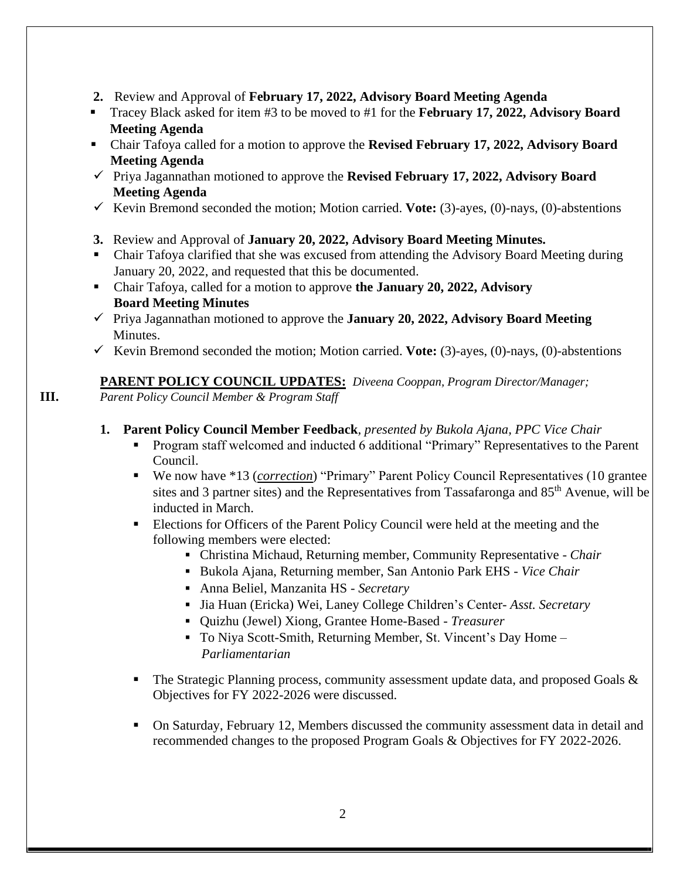- **2.** Review and Approval of **February 17, 2022, Advisory Board Meeting Agenda**
- Tracey Black asked for item #3 to be moved to #1 for the **February 17, 2022, Advisory Board Meeting Agenda**
- Chair Tafoya called for a motion to approve the **Revised February 17, 2022, Advisory Board Meeting Agenda**
- ✓ Priya Jagannathan motioned to approve the **Revised February 17, 2022, Advisory Board Meeting Agenda**
- ✓ Kevin Bremond seconded the motion; Motion carried. **Vote:** (3)-ayes, (0)-nays, (0)-abstentions
- **3.** Review and Approval of **January 20, 2022, Advisory Board Meeting Minutes.**
- Chair Tafoya clarified that she was excused from attending the Advisory Board Meeting during January 20, 2022, and requested that this be documented.
- Chair Tafoya, called for a motion to approve **the January 20, 2022, Advisory Board Meeting Minutes**
- ✓ Priya Jagannathan motioned to approve the **January 20, 2022, Advisory Board Meeting**  Minutes.
- $\checkmark$  Kevin Bremond seconded the motion; Motion carried. **Vote:** (3)-ayes, (0)-nays, (0)-abstentions

# **PARENT POLICY COUNCIL UPDATES:** *Diveena Cooppan, Program Director/Manager;*

**III.** *Parent Policy Council Member & Program Staff*

# **1. Parent Policy Council Member Feedback***, presented by Bukola Ajana, PPC Vice Chair*

- Program staff welcomed and inducted 6 additional "Primary" Representatives to the Parent Council.
- We now have \*13 (*correction*) "Primary" Parent Policy Council Representatives (10 grantee sites and 3 partner sites) and the Representatives from Tassafaronga and 85<sup>th</sup> Avenue, will be inducted in March.
- **Elections for Officers of the Parent Policy Council were held at the meeting and the** following members were elected:
	- Christina Michaud, Returning member, Community Representative *Chair*
	- Bukola Ajana, Returning member, San Antonio Park EHS *Vice Chair*
	- Anna Beliel, Manzanita HS *Secretary*
	- Jia Huan (Ericka) Wei, Laney College Children's Center- *Asst. Secretary*
	- Quizhu (Jewel) Xiong, Grantee Home-Based *Treasurer*
	- To Niya Scott-Smith, Returning Member, St. Vincent's Day Home *Parliamentarian*
- The Strategic Planning process, community assessment update data, and proposed Goals  $\&$ Objectives for FY 2022-2026 were discussed.
- On Saturday, February 12, Members discussed the community assessment data in detail and recommended changes to the proposed Program Goals & Objectives for FY 2022-2026.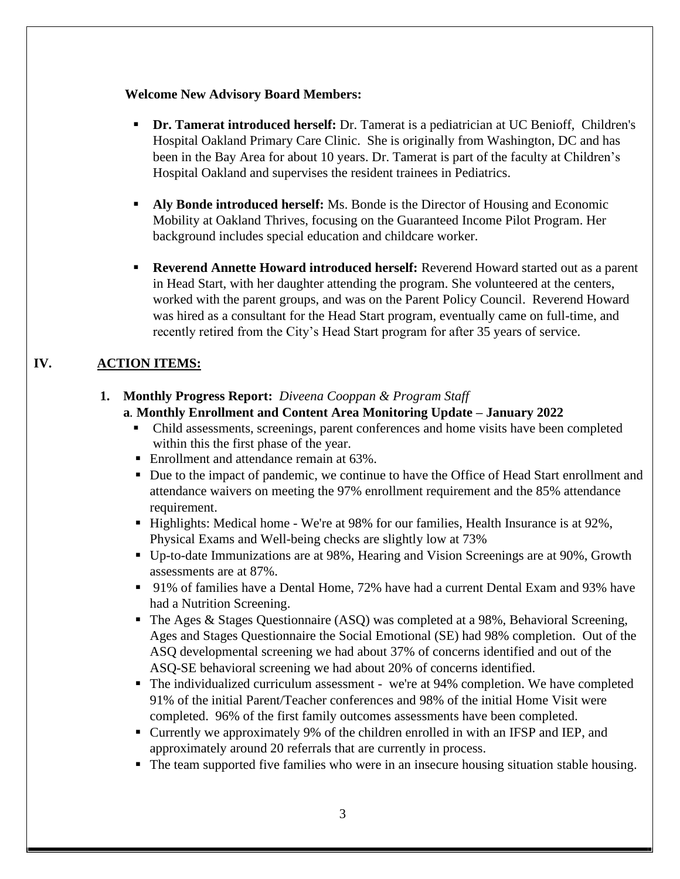### **Welcome New Advisory Board Members:**

- **Dr. Tamerat introduced herself:** Dr. Tamerat is a pediatrician at UC Benioff, Children's Hospital Oakland Primary Care Clinic. She is originally from Washington, DC and has been in the Bay Area for about 10 years. Dr. Tamerat is part of the faculty at Children's Hospital Oakland and supervises the resident trainees in Pediatrics.
- **Aly Bonde introduced herself:** Ms. Bonde is the Director of Housing and Economic Mobility at Oakland Thrives, focusing on the Guaranteed Income Pilot Program. Her background includes special education and childcare worker.
- **Reverend Annette Howard introduced herself:** Reverend Howard started out as a parent in Head Start, with her daughter attending the program. She volunteered at the centers, worked with the parent groups, and was on the Parent Policy Council. Reverend Howard was hired as a consultant for the Head Start program, eventually came on full-time, and recently retired from the City's Head Start program for after 35 years of service.

# **IV. ACTION ITEMS:**

### **1. Monthly Progress Report:** *Diveena Cooppan & Program Staff*

### **a***.* **Monthly Enrollment and Content Area Monitoring Update – January 2022**

- Child assessments, screenings, parent conferences and home visits have been completed within this the first phase of the year.
- Enrollment and attendance remain at 63%.
- Due to the impact of pandemic, we continue to have the Office of Head Start enrollment and attendance waivers on meeting the 97% enrollment requirement and the 85% attendance requirement.
- **.** Highlights: Medical home We're at  $98\%$  for our families, Health Insurance is at  $92\%$ , Physical Exams and Well-being checks are slightly low at 73%
- Up-to-date Immunizations are at 98%, Hearing and Vision Screenings are at 90%, Growth assessments are at 87%.
- 91% of families have a Dental Home, 72% have had a current Dental Exam and 93% have had a Nutrition Screening.
- The Ages & Stages Questionnaire (ASQ) was completed at a 98%, Behavioral Screening, Ages and Stages Questionnaire the Social Emotional (SE) had 98% completion. Out of the ASQ developmental screening we had about 37% of concerns identified and out of the ASQ-SE behavioral screening we had about 20% of concerns identified.
- The individualized curriculum assessment we're at 94% completion. We have completed 91% of the initial Parent/Teacher conferences and 98% of the initial Home Visit were completed. 96% of the first family outcomes assessments have been completed.
- Currently we approximately 9% of the children enrolled in with an IFSP and IEP, and approximately around 20 referrals that are currently in process.
- The team supported five families who were in an insecure housing situation stable housing.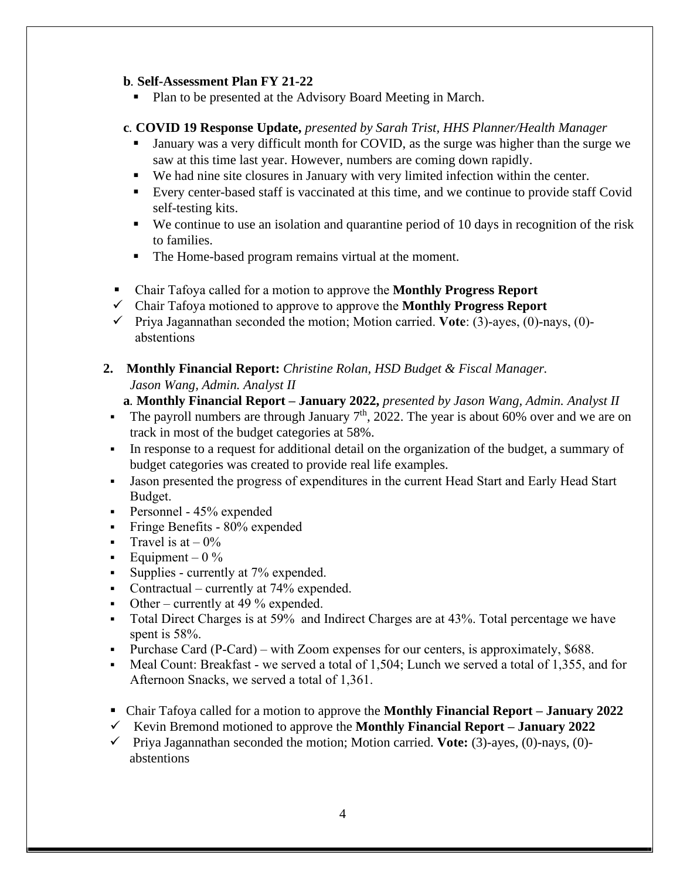#### **b***.* **Self-Assessment Plan FY 21-22**

Plan to be presented at the Advisory Board Meeting in March.

# **c***.* **COVID 19 Response Update,** *presented by Sarah Trist, HHS Planner/Health Manager*

- January was a very difficult month for COVID, as the surge was higher than the surge we saw at this time last year. However, numbers are coming down rapidly.
- We had nine site closures in January with very limited infection within the center.
- Every center-based staff is vaccinated at this time, and we continue to provide staff Covid self-testing kits.
- We continue to use an isolation and quarantine period of 10 days in recognition of the risk to families.
- The Home-based program remains virtual at the moment.
- Chair Tafoya called for a motion to approve the **Monthly Progress Report**
- ✓ Chair Tafoya motioned to approve to approve the **Monthly Progress Report**
- ✓ Priya Jagannathan seconded the motion; Motion carried. **Vote**: (3)-ayes, (0)-nays, (0) abstentions
- **2. Monthly Financial Report:** *Christine Rolan, HSD Budget & Fiscal Manager. Jason Wang, Admin. Analyst II*

**a***.* **Monthly Financial Report – January 2022,** *presented by Jason Wang, Admin. Analyst II*

- **•** The payroll numbers are through January  $7<sup>th</sup>$ , 2022. The year is about 60% over and we are on track in most of the budget categories at 58%.
- In response to a request for additional detail on the organization of the budget, a summary of budget categories was created to provide real life examples.
- Jason presented the progress of expenditures in the current Head Start and Early Head Start Budget.
- Personnel 45% expended
- Fringe Benefits 80% expended
- **•** Travel is at  $-0\%$
- **•** Equipment  $0\%$
- **•** Supplies currently at 7% expended.
- Contractual currently at  $74\%$  expended.
- Other currently at 49  $%$  expended.
- Total Direct Charges is at 59% and Indirect Charges are at 43%. Total percentage we have spent is 58%.
- Purchase Card (P-Card) with Zoom expenses for our centers, is approximately, \$688.
- Meal Count: Breakfast we served a total of 1,504; Lunch we served a total of 1,355, and for Afternoon Snacks, we served a total of 1,361.
- Chair Tafoya called for a motion to approve the **Monthly Financial Report January 2022**
- ✓ Kevin Bremond motioned to approve the **Monthly Financial Report – January 2022**
- ✓ Priya Jagannathan seconded the motion; Motion carried. **Vote:** (3)-ayes, (0)-nays, (0) abstentions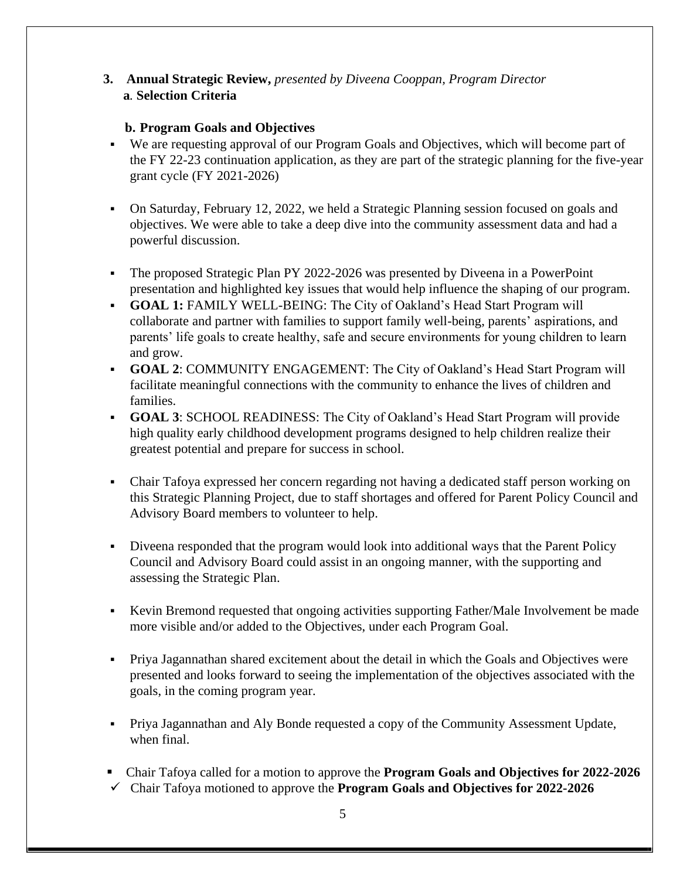# **3. Annual Strategic Review,** *presented by Diveena Cooppan, Program Director* **a***.* **Selection Criteria**

# **b. Program Goals and Objectives**

- We are requesting approval of our Program Goals and Objectives, which will become part of the FY 22-23 continuation application, as they are part of the strategic planning for the five-year grant cycle (FY 2021-2026)
- On Saturday, February 12, 2022, we held a Strategic Planning session focused on goals and objectives. We were able to take a deep dive into the community assessment data and had a powerful discussion.
- The proposed Strategic Plan PY 2022-2026 was presented by Diveena in a PowerPoint presentation and highlighted key issues that would help influence the shaping of our program.
- **GOAL 1:** FAMILY WELL-BEING: The City of Oakland's Head Start Program will collaborate and partner with families to support family well-being, parents' aspirations, and parents' life goals to create healthy, safe and secure environments for young children to learn and grow.
- **GOAL 2**: COMMUNITY ENGAGEMENT: The City of Oakland's Head Start Program will facilitate meaningful connections with the community to enhance the lives of children and families.
- **GOAL 3**: SCHOOL READINESS: The City of Oakland's Head Start Program will provide high quality early childhood development programs designed to help children realize their greatest potential and prepare for success in school.
- Chair Tafoya expressed her concern regarding not having a dedicated staff person working on this Strategic Planning Project, due to staff shortages and offered for Parent Policy Council and Advisory Board members to volunteer to help.
- Diveena responded that the program would look into additional ways that the Parent Policy Council and Advisory Board could assist in an ongoing manner, with the supporting and assessing the Strategic Plan.
- Kevin Bremond requested that ongoing activities supporting Father/Male Involvement be made more visible and/or added to the Objectives, under each Program Goal.
- Priya Jagannathan shared excitement about the detail in which the Goals and Objectives were presented and looks forward to seeing the implementation of the objectives associated with the goals, in the coming program year.
- Priya Jagannathan and Aly Bonde requested a copy of the Community Assessment Update, when final.
- Chair Tafoya called for a motion to approve the **Program Goals and Objectives for 2022-2026** ✓ Chair Tafoya motioned to approve the **Program Goals and Objectives for 2022-2026**